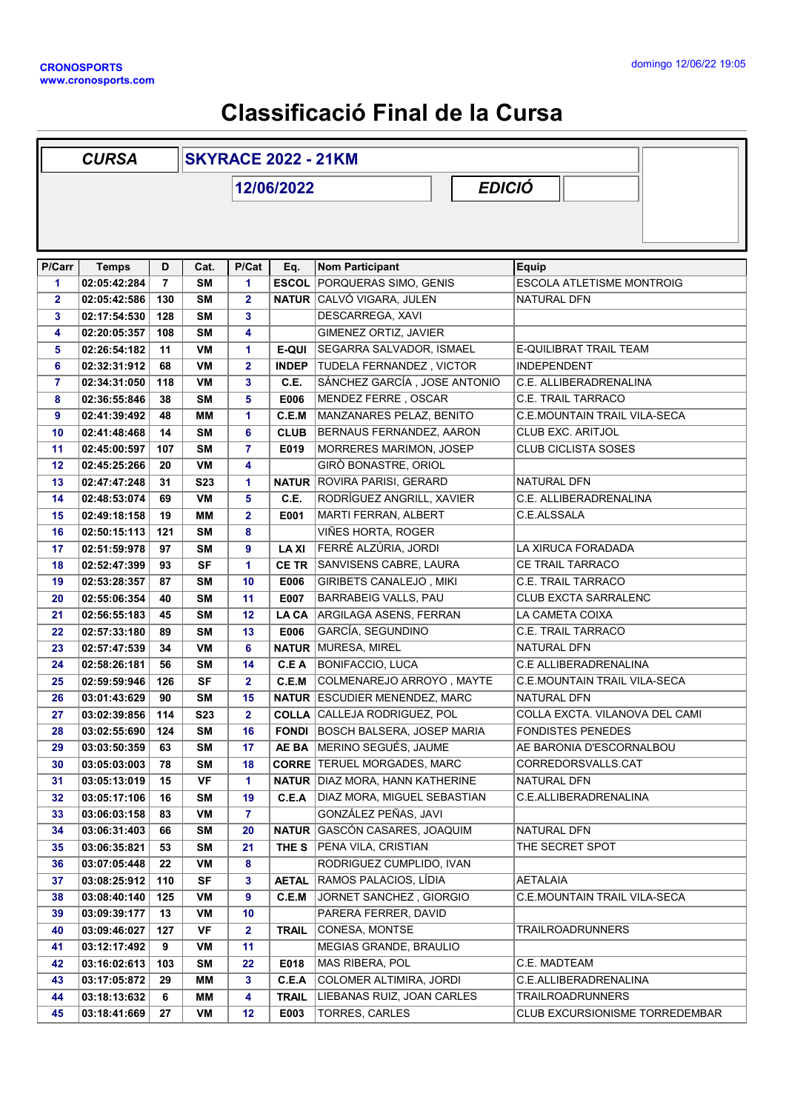## Classificació Final de la Cursa

|                | <b>SKYRACE 2022 - 21KM</b><br><b>CURSA</b> |                |                  |                         |              |                                                                       |                                      |
|----------------|--------------------------------------------|----------------|------------------|-------------------------|--------------|-----------------------------------------------------------------------|--------------------------------------|
|                | 12/06/2022                                 |                |                  |                         |              | <b>EDICIÓ</b>                                                         |                                      |
|                |                                            |                |                  |                         |              |                                                                       |                                      |
|                |                                            |                |                  |                         |              |                                                                       |                                      |
|                |                                            |                |                  |                         |              |                                                                       |                                      |
| P/Carr         | <b>Temps</b>                               | D              | Cat.             | P/Cat                   | Eq.          | Nom Participant                                                       | Equip                                |
| 1              | 02:05:42:284                               | $\overline{7}$ | SM               | 1                       |              | <b>ESCOL PORQUERAS SIMO, GENIS</b>                                    | <b>ESCOLA ATLETISME MONTROIG</b>     |
| $\mathbf{2}$   | 02:05:42:586                               | 130            | <b>SM</b>        | $\overline{2}$          |              | <b>NATUR CALVÓ VIGARA, JULEN</b>                                      | NATURAL DFN                          |
| 3              | 02:17:54:530                               | 128            | SΜ               | 3                       |              | DESCARREGA, XAVI                                                      |                                      |
| 4              | 02:20:05:357                               | 108            | SΜ               | 4                       |              | GIMENEZ ORTIZ, JAVIER                                                 |                                      |
| 5              | 02:26:54:182                               | 11             | VM               | 1                       | <b>E-QUI</b> | SEGARRA SALVADOR, ISMAEL                                              | E-QUILIBRAT TRAIL TEAM               |
| 6              | 02:32:31:912                               | 68             | VM               | $\overline{\mathbf{2}}$ | <b>INDEP</b> | TUDELA FERNANDEZ, VICTOR                                              | <b>INDEPENDENT</b>                   |
| $\overline{7}$ | 02:34:31:050                               | 118            | VM               | 3                       | C.E.         | SÁNCHEZ GARCÍA, JOSE ANTONIO                                          | C.E. ALLIBERADRENALINA               |
| 8              | 02:36:55:846                               | 38             | <b>SM</b>        | 5                       | E006         | MENDEZ FERRE, OSCAR                                                   | C.E. TRAIL TARRACO                   |
| 9              | 02:41:39:492                               | 48             | ΜМ               | 1                       | C.E.M        | MANZANARES PELAZ, BENITO                                              | C.E.MOUNTAIN TRAIL VILA-SECA         |
| 10             | 02:41:48:468                               | 14             | SM               | 6                       | <b>CLUB</b>  | BERNAUS FERNANDEZ, AARON                                              | CLUB EXC. ARITJOL                    |
| 11             | 02:45:00:597                               | 107            | SM               | $\overline{7}$          | E019         | MORRERES MARIMON, JOSEP                                               | <b>CLUB CICLISTA SOSES</b>           |
| 12             | 02:45:25:266                               | 20             | VM               | 4                       |              | GIRÒ BONASTRE, ORIOL                                                  |                                      |
| 13             | 02:47:47:248                               | 31             | S <sub>2</sub> 3 | 1                       |              | <b>NATUR ROVIRA PARISI, GERARD</b>                                    | NATURAL DFN                          |
| 14             | 02:48:53:074                               | 69             | VM               | 5                       | C.E.         | RODRÍGUEZ ANGRILL, XAVIER                                             | C.E. ALLIBERADRENALINA               |
| 15             | 02:49:18:158                               | 19             | ΜМ               | $\mathbf{2}$            | E001         | MARTI FERRAN, ALBERT                                                  | C.E.ALSSALA                          |
| 16             | 02:50:15:113                               | 121            | <b>SM</b>        | 8                       |              | VIÑES HORTA, ROGER                                                    |                                      |
| 17             | 02:51:59:978                               | 97             | SΜ               | 9                       | <b>LAXI</b>  | FERRÉ ALZÚRIA, JORDI                                                  | LA XIRUCA FORADADA                   |
| 18             | 02:52:47:399                               | 93             | <b>SF</b>        | 1                       | <b>CE TR</b> | SANVISENS CABRE, LAURA                                                | CE TRAIL TARRACO                     |
| 19             | 02:53:28:357                               | 87             | SM               | 10                      | E006         | <b>GIRIBETS CANALEJO, MIKI</b>                                        | C.E. TRAIL TARRACO                   |
| 20             | 02:55:06:354                               | 40             | <b>SM</b>        | 11                      | E007         | <b>BARRABEIG VALLS, PAU</b>                                           | <b>CLUB EXCTA SARRALENC</b>          |
| 21             | 02:56:55:183                               | 45             | <b>SM</b>        | 12                      | <b>LACA</b>  | ARGILAGA ASENS, FERRAN                                                | LA CAMETA COIXA                      |
| 22             | 02:57:33:180                               | 89             | <b>SM</b>        | 13                      | E006         | GARCÍA, SEGUNDINO                                                     | C.E. TRAIL TARRACO                   |
| 23             | 02:57:47:539                               | 34             | VM               | 6                       |              | <b>NATUR MURESA, MIREL</b>                                            | NATURAL DFN                          |
| 24             | 02:58:26:181                               | 56             | SΜ               | 14                      | C.E A        | <b>BONIFACCIO, LUCA</b>                                               | C.E ALLIBERADRENALINA                |
| 25             | 02:59:59:946                               | 126            | <b>SF</b>        | $\mathbf{2}$            | C.E.M        | COLMENAREJO ARROYO, MAYTE                                             | <b>C.E.MOUNTAIN TRAIL VILA-SECA</b>  |
| 26             | 03:01:43:629                               | 90             | <b>SM</b>        | 15                      |              | <b>NATUR ESCUDIER MENENDEZ, MARC</b>                                  | NATURAL DFN                          |
| 27             | 03:02:39:856                               | 114            | <b>S23</b>       | $\mathbf{2}$            |              | <b>COLLA CALLEJA RODRIGUEZ, POL</b>                                   | COLLA EXCTA. VILANOVA DEL CAMI       |
| 28             | 03:02:55:690                               | 124            | <b>SM</b>        | 16                      |              | <b>FONDI BOSCH BALSERA, JOSEP MARIA</b>                               | <b>FONDISTES PENEDES</b>             |
| 29             | 03:03:50:359                               | 63             | <b>SM</b>        | 17                      |              | AE BA MERINO SEGUÉS, JAUME                                            | AE BARONIA D'ESCORNALBOU             |
| 30             | 03:05:03:003                               | 78             | <b>SM</b>        | 18                      |              | <b>CORRE TERUEL MORGADES, MARC</b>                                    | CORREDORSVALLS.CAT                   |
| 31<br>32       | 03:05:13:019<br>03:05:17:106               | 15<br>16       | VF<br><b>SM</b>  | 1<br>19                 | C.E.A        | <b>NATUR DIAZ MORA, HANN KATHERINE</b><br>DIAZ MORA, MIGUEL SEBASTIAN | NATURAL DFN<br>C.E.ALLIBERADRENALINA |
| 33             | 03:06:03:158                               | 83             | VM               | $\overline{7}$          |              | GONZÁLEZ PEÑAS, JAVI                                                  |                                      |
| 34             | 03:06:31:403                               | 66             | <b>SM</b>        | 20                      |              | <b>NATUR GASCÓN CASARES, JOAQUIM</b>                                  | NATURAL DFN                          |
| 35             | 03:06:35:821                               | 53             | <b>SM</b>        | 21                      | THE S        | PENA VILA, CRISTIAN                                                   | THE SECRET SPOT                      |
| 36             | 03:07:05:448                               | 22             | VM               | 8                       |              | RODRIGUEZ CUMPLIDO, IVAN                                              |                                      |
| 37             | 03:08:25:912                               | 110            | SF               | 3                       | <b>AETAL</b> | RAMOS PALACIOS, LÍDIA                                                 | <b>AETALAIA</b>                      |
| 38             | 03:08:40:140                               | 125            | VM               | 9                       | C.E.M        | JORNET SANCHEZ, GIORGIO                                               | C.E.MOUNTAIN TRAIL VILA-SECA         |
| 39             | 03:09:39:177                               | 13             | VM               | 10                      |              | PARERA FERRER, DAVID                                                  |                                      |
| 40             | 03:09:46:027                               | 127            | <b>VF</b>        | $\overline{\mathbf{2}}$ | TRAIL        | CONESA, MONTSE                                                        | <b>TRAILROADRUNNERS</b>              |
| 41             | 03:12:17:492                               | 9              | VM               | 11                      |              | MEGIAS GRANDE, BRAULIO                                                |                                      |
| 42             | 03:16:02:613                               | 103            | <b>SM</b>        | 22                      | E018         | MAS RIBERA, POL                                                       | C.E. MADTEAM                         |
| 43             | 03:17:05:872                               | 29             | MМ               | 3                       | C.E.A        | COLOMER ALTIMIRA, JORDI                                               | C.E.ALLIBERADRENALINA                |
| 44             | 03:18:13:632                               | 6              | MМ               | 4                       | <b>TRAIL</b> | LIEBANAS RUIZ, JOAN CARLES                                            | TRAILROADRUNNERS                     |
| 45             | 03:18:41:669                               | 27             | VM               | 12                      | E003         | TORRES, CARLES                                                        | CLUB EXCURSIONISME TORREDEMBAR       |
|                |                                            |                |                  |                         |              |                                                                       |                                      |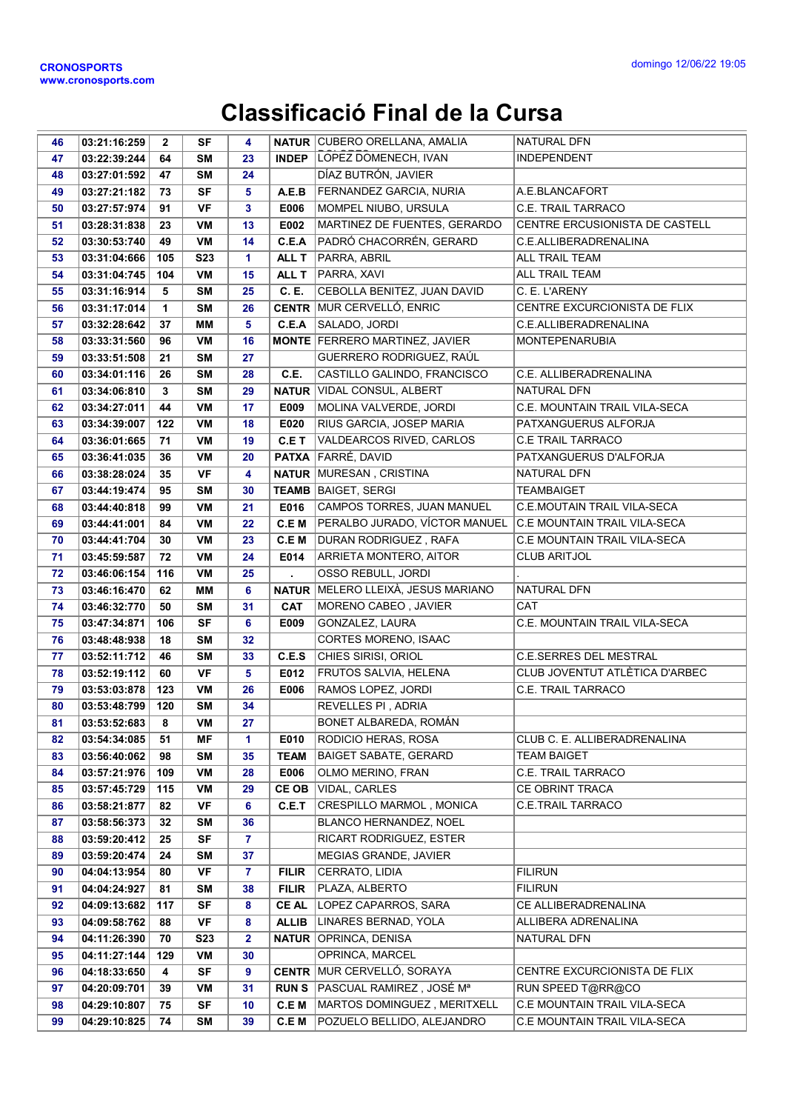## Classificació Final de la Cursa

| 46       | 03:21:16:259                 | $\overline{2}$ | <b>SF</b>       | 4                    |              | <b>NATUR CUBERO ORELLANA, AMALIA</b>              | <b>NATURAL DFN</b>                  |
|----------|------------------------------|----------------|-----------------|----------------------|--------------|---------------------------------------------------|-------------------------------------|
| 47       | 03:22:39:244                 | 64             | <b>SM</b>       | 23                   |              | <b>INDEP</b> LOPEZ DOMENECH, IVAN                 | <b>INDEPENDENT</b>                  |
| 48       | 03:27:01:592                 | 47             | <b>SM</b>       | 24                   |              | DÍAZ BUTRÓN, JAVIER                               |                                     |
| 49       | 03:27:21:182                 | 73             | <b>SF</b>       | 5                    | A.E.B        | FERNANDEZ GARCIA, NURIA                           | A.E.BLANCAFORT                      |
| 50       | 03:27:57:974                 | 91             | <b>VF</b>       | 3                    | E006         | MOMPEL NIUBO, URSULA                              | C.E. TRAIL TARRACO                  |
| 51       | 03:28:31:838                 | 23             | VM              | 13                   | E002         | MARTINEZ DE FUENTES, GERARDO                      | CENTRE ERCUSIONISTA DE CASTELL      |
| 52       | 03:30:53:740                 | 49             | VM              | 14                   | C.E.A        | PADRÓ CHACORRÉN, GERARD                           | C.E.ALLIBERADRENALINA               |
| 53       | 03:31:04:666                 | 105            | <b>S23</b>      | 1                    | ALL T        | PARRA, ABRIL                                      | <b>ALL TRAIL TEAM</b>               |
| 54       | 03:31:04:745                 | 104            | VM              | 15                   | ALL T        | PARRA, XAVI                                       | <b>ALL TRAIL TEAM</b>               |
| 55       | 03:31:16:914                 | 5              | <b>SM</b>       | 25                   | C. E.        | CEBOLLA BENITEZ, JUAN DAVID                       | C. E. L'ARENY                       |
| 56       | 03:31:17:014                 | $\mathbf{1}$   | <b>SM</b>       | 26                   |              | <b>CENTR MUR CERVELLÓ, ENRIC</b>                  | CENTRE EXCURCIONISTA DE FLIX        |
| 57       | 03:32:28:642                 | 37             | MM              | 5                    | C.E.A        | SALADO, JORDI                                     | C.E.ALLIBERADRENALINA               |
| 58       | 03:33:31:560                 | 96             | VM              | 16                   |              | <b>MONTE FERRERO MARTINEZ, JAVIER</b>             | <b>MONTEPENARUBIA</b>               |
| 59       | 03:33:51:508                 | 21             | <b>SM</b>       | 27                   |              | GUERRERO RODRIGUEZ, RAÚL                          |                                     |
| 60       | 03:34:01:116                 | 26             | <b>SM</b>       | 28                   | C.E.         | CASTILLO GALINDO, FRANCISCO                       | C.E. ALLIBERADRENALINA              |
| 61       | 03:34:06:810                 | 3              | <b>SM</b>       | 29                   | <b>NATUR</b> | <b>VIDAL CONSUL, ALBERT</b>                       | NATURAL DFN                         |
| 62       | 03:34:27:011                 | 44             | VM              | 17                   | E009         | MOLINA VALVERDE, JORDI                            | C.E. MOUNTAIN TRAIL VILA-SECA       |
| 63       | 03:34:39:007                 | 122            | VM              | 18                   | E020         | RIUS GARCIA, JOSEP MARIA                          | PATXANGUERUS ALFORJA                |
| 64       | 03:36:01:665                 | 71             | VM              | 19                   | C.E T        | VALDEARCOS RIVED, CARLOS                          | <b>C.E TRAIL TARRACO</b>            |
| 65       | 03:36:41:035                 | 36             | VM              | 20                   |              | <b>PATXA FARRÉ, DAVID</b>                         | PATXANGUERUS D'ALFORJA              |
| 66       | 03:38:28:024                 | 35             | VF              | 4                    |              | <b>NATUR MURESAN, CRISTINA</b>                    | NATURAL DFN                         |
| 67       | 03:44:19:474                 | 95             | <b>SM</b>       | 30                   |              | <b>TEAMB BAIGET, SERGI</b>                        | <b>TEAMBAIGET</b>                   |
| 68       | 03:44:40:818                 | 99             | VM              | 21                   | E016         | CAMPOS TORRES, JUAN MANUEL                        | C.E.MOUTAIN TRAIL VILA-SECA         |
| 69       | 03:44:41:001                 | 84             | VM              | 22                   | C.E M        | PERALBO JURADO, VÍCTOR MANUEL                     | <b>C.E MOUNTAIN TRAIL VILA-SECA</b> |
| 70       | 03:44:41:704                 | 30             | VM              | 23                   | C.E M        | DURAN RODRIGUEZ, RAFA                             | C.E MOUNTAIN TRAIL VILA-SECA        |
| 71       | 03:45:59:587                 | 72             | VM              | 24                   | E014         | ARRIETA MONTERO, AITOR                            | <b>CLUB ARITJOL</b>                 |
| 72       | 03:46:06:154                 | 116            | VM              | 25                   |              | OSSO REBULL, JORDI                                |                                     |
| 73       | 03:46:16:470                 | 62             | MМ              | 6                    |              | <b>NATUR MELERO LLEIXÀ, JESUS MARIANO</b>         | NATURAL DFN                         |
| 74       | 03:46:32:770                 | 50             | <b>SM</b>       | 31                   | <b>CAT</b>   | MORENO CABEO, JAVIER                              | CAT                                 |
| 75       | 03:47:34:871                 | 106            | <b>SF</b>       | 6                    | E009         | GONZALEZ, LAURA                                   | C.E. MOUNTAIN TRAIL VILA-SECA       |
| 76       | 03:48:48:938                 | 18             | <b>SM</b>       | 32                   |              | CORTES MORENO, ISAAC                              |                                     |
| 77       | 03:52:11:712                 | 46             | <b>SM</b>       | 33                   | C.E.S        | CHIES SIRISI, ORIOL                               | <b>C.E.SERRES DEL MESTRAL</b>       |
| 78       | 03:52:19:112                 | 60             | <b>VF</b>       | 5                    | E012         | FRUTOS SALVIA, HELENA                             | CLUB JOVENTUT ATLÈTICA D'ARBEC      |
| 79       | 03:53:03:878                 | 123            | VM              | 26                   | E006         | RAMOS LOPEZ, JORDI                                | C.E. TRAIL TARRACO                  |
| 80       | 03:53:48:799                 | 120            | <b>SM</b>       | 34                   |              | <b>REVELLES PI, ADRIA</b>                         |                                     |
| 81       | 03:53:52:683                 | 8              | VM              | 27                   |              | BONET ALBAREDA, ROMÁN                             |                                     |
| 82       | 03:54:34:085                 | 51             | ΜF              | 1                    | E010         | RODICIO HERAS, ROSA                               | CLUB C. E. ALLIBERADRENALINA        |
| 83       | 03:56:40:062                 | 98             | SM              | 35                   | <b>TEAM</b>  | <b>BAIGET SABATE, GERARD</b>                      | <b>TEAM BAIGET</b>                  |
| 84       | 03:57:21:976                 | 109            | VM              | 28                   | E006         | OLMO MERINO, FRAN                                 | C.E. TRAIL TARRACO                  |
| 85       | 03:57:45:729                 | 115            | VM              | 29                   | CE OB        | VIDAL, CARLES                                     | CE OBRINT TRACA                     |
| 86       | 03:58:21:877                 | 82             | VF              | 6                    | C.E.T        | CRESPILLO MARMOL, MONICA                          | <b>C.E.TRAIL TARRACO</b>            |
| 87<br>88 | 03:58:56:373<br>03:59:20:412 | 32<br>25       | SM<br><b>SF</b> | 36<br>$\overline{7}$ |              | BLANCO HERNANDEZ, NOEL<br>RICART RODRIGUEZ, ESTER |                                     |
| 89       | 03:59:20:474                 | 24             | SΜ              | 37                   |              | MEGIAS GRANDE, JAVIER                             |                                     |
| 90       | 04:04:13:954                 | 80             | VF              | $\overline{7}$       | <b>FILIR</b> | CERRATO, LIDIA                                    | <b>FILIRUN</b>                      |
| 91       | 04:04:24:927                 | 81             | SΜ              | 38                   | <b>FILIR</b> | PLAZA, ALBERTO                                    | <b>FILIRUN</b>                      |
| 92       | 04:09:13:682                 | 117            | <b>SF</b>       | 8                    | <b>CEAL</b>  | LOPEZ CAPARROS, SARA                              | CE ALLIBERADRENALINA                |
| 93       | 04:09:58:762                 | 88             | VF              | 8                    | <b>ALLIB</b> | LINARES BERNAD, YOLA                              | ALLIBERA ADRENALINA                 |
| 94       | 04:11:26:390                 | 70             | <b>S23</b>      | $\mathbf{2}$         | <b>NATUR</b> | OPRINCA, DENISA                                   | NATURAL DFN                         |
| 95       | 04:11:27:144                 | 129            | VM              | 30                   |              | OPRINCA, MARCEL                                   |                                     |
| 96       | 04:18:33:650                 | 4              | <b>SF</b>       | 9                    |              | <b>CENTR MUR CERVELLÓ, SORAYA</b>                 | CENTRE EXCURCIONISTA DE FLIX        |
| 97       | 04:20:09:701                 | 39             | VM              | 31                   | <b>RUNS</b>  | PASCUAL RAMIREZ, JOSÉ Mª                          | RUN SPEED T@RR@CO                   |
| 98       | 04:29:10:807                 | 75             | <b>SF</b>       | 10                   | C.E M        | MARTOS DOMINGUEZ, MERITXELL                       | C.E MOUNTAIN TRAIL VILA-SECA        |
| 99       | 04:29:10:825                 | 74             | SM              | 39                   | C.E M        | POZUELO BELLIDO, ALEJANDRO                        | C.E MOUNTAIN TRAIL VILA-SECA        |